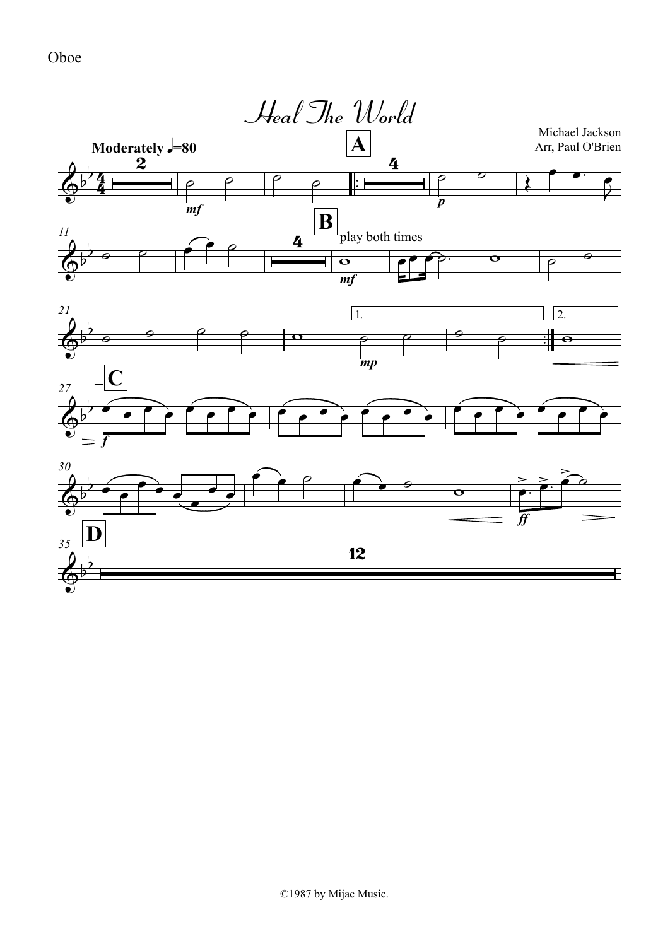Oboe